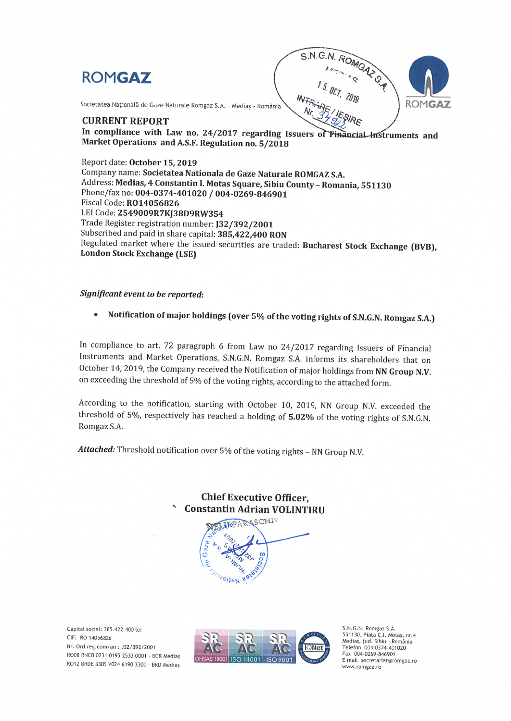



Societatea Națională de Gaze Naturale Romgaz S.A. - Mediaș - România

## **CURRENT REPORT**

In compliance with Law no. 24/2017 regarding Issuers of Financial Instruments and Market Operations and A.S.F. Regulation no. 5/2018

Report date: October 15, 2019 Company name: Societatea Nationala de Gaze Naturale ROMGAZ S.A. Address: Medias, 4 Constantin I. Motas Square, Sibiu County - Romania, 551130 Phone/fax no: 004-0374-401020 / 004-0269-846901 Fiscal Code: R014056826 LEI Code: 2549009R7KJ38D9RW354 Trade Register registration number: J32/392/2001 Subscribed and paid in share capital: 385,422,400 RON Regulated market where the issued securities are traded: Bucharest Stock Exchange (BVB), **London Stock Exchange (LSE)** 

## Significant event to be reported:

Notification of major holdings (over 5% of the voting rights of S.N.G.N. Romgaz S.A.)  $\bullet$ 

In compliance to art. 72 paragraph 6 from Law no 24/2017 regarding Issuers of Financial Instruments and Market Operations, S.N.G.N. Romgaz S.A. informs its shareholders that on October 14, 2019, the Company received the Notification of major holdings from NN Group N.V. on exceeding the threshold of 5% of the voting rights, according to the attached form.

According to the notification, starting with October 10, 2019, NN Group N.V. exceeded the threshold of 5%, respectively has reached a holding of 5.02% of the voting rights of S.N.G.N. Romgaz S.A.

Attached: Threshold notification over 5% of the voting rights - NN Group N.V.

**Chief Executive Officer, Constantin Adrian VOLINTIRU** 

**MOPARASCHIV Teuolien** 

Capital social: 385.422.400 lei CIF: RO 14056826 Nr. Ord.reg.com/an: J32/392/2001 RO08 RNCB 0231 0195 2533 0001 - BCR Medias RO12 BRDE 330S V024 6190 3300 - BRD Mediaș



S.N.G.N. Romgaz S.A.<br>551130, Piata C.I. Motas, nr.4 Mediaș, jud. Sibiu - România Telefon 004-0374-401020 Fax 004-0269-846901 E-mail secretariat@romgaz.ro www.romgaz.ro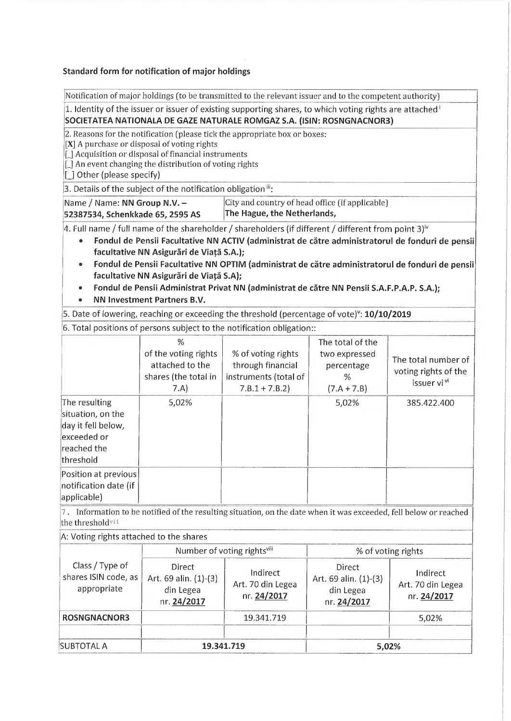## Standard form for notification of major holdings

|                                                                                                     |                                                                                                                                                                | Notification of major holdings (to be transmitted to the relevant issuer and to the competent authority)                                                                                                       |                                                                                |                                                                                                                                                                                                      |  |  |  |
|-----------------------------------------------------------------------------------------------------|----------------------------------------------------------------------------------------------------------------------------------------------------------------|----------------------------------------------------------------------------------------------------------------------------------------------------------------------------------------------------------------|--------------------------------------------------------------------------------|------------------------------------------------------------------------------------------------------------------------------------------------------------------------------------------------------|--|--|--|
|                                                                                                     |                                                                                                                                                                | 1. Identity of the issuer or issuer of existing supporting shares, to which voting rights are attached <sup>1</sup><br>SOCIETATEA NATIONALA DE GAZE NATURALE ROMGAZ S.A. (ISIN: ROSNGNACNOR3)                  |                                                                                |                                                                                                                                                                                                      |  |  |  |
| [ ] Other (please specify)                                                                          | [X] A purchase or disposal of voting rights<br>[_] Acquisition or disposal of financial instruments<br>[_] An event changing the distribution of voting rights | 2. Reasons for the notification (please tick the appropriate box or boxes:                                                                                                                                     |                                                                                |                                                                                                                                                                                                      |  |  |  |
|                                                                                                     | 3. Details of the subject of the notification obligation <sup>11</sup> :                                                                                       |                                                                                                                                                                                                                |                                                                                |                                                                                                                                                                                                      |  |  |  |
| Name / Name: NN Group N.V. -<br>52387534, Schenkkade 65, 2595 AS                                    |                                                                                                                                                                |                                                                                                                                                                                                                | City and country of head office (if applicable)<br>The Hague, the Netherlands, |                                                                                                                                                                                                      |  |  |  |
|                                                                                                     | facultative NN Asigurări de Viață S.A.);<br>facultative NN Asigurări de Viață S.A);<br>NN Investment Partners B.V.                                             | 4. Full name / full name of the shareholder / shareholders (if different / different from point 3) <sup>iv</sup><br>Fondul de Pensii Administrat Privat NN (administrat de către NN Pensii S.A.F.P.A.P. S.A.); |                                                                                | Fondul de Pensii Facultative NN ACTIV (administrat de către administratorul de fonduri de pensii<br>Fondul de Pensii Facultative NN OPTIM (administrat de către administratorul de fonduri de pensii |  |  |  |
|                                                                                                     |                                                                                                                                                                | 5. Date of lowering, reaching or exceeding the threshold (percentage of vote) <sup>v</sup> : 10/10/2019                                                                                                        |                                                                                |                                                                                                                                                                                                      |  |  |  |
|                                                                                                     |                                                                                                                                                                | 6. Total positions of persons subject to the notification obligation::                                                                                                                                         |                                                                                |                                                                                                                                                                                                      |  |  |  |
|                                                                                                     | %<br>of the voting rights<br>attached to the<br>shares (the total in<br>7.A)                                                                                   | % of voting rights<br>through financial<br>instruments (total of<br>$7.B.1 + 7.B.2$                                                                                                                            | The total of the<br>two expressed<br>percentage<br>%<br>$(7.A + 7.B)$          | The total number of<br>voting rights of the<br>issuer vi <sup>vi</sup>                                                                                                                               |  |  |  |
| The resulting<br>situation, on the<br>day it fell below,<br>exceeded or<br>reached the<br>threshold | 5,02%                                                                                                                                                          |                                                                                                                                                                                                                | 5,02%                                                                          | 385.422.400                                                                                                                                                                                          |  |  |  |
| Position at previous<br>notification date (if<br>applicable)                                        |                                                                                                                                                                |                                                                                                                                                                                                                |                                                                                |                                                                                                                                                                                                      |  |  |  |
| the thresholdvii                                                                                    |                                                                                                                                                                | 7. Information to be notified of the resulting situation, on the date when it was exceeded, fell below or reached                                                                                              |                                                                                |                                                                                                                                                                                                      |  |  |  |
| A: Voting rights attached to the shares                                                             |                                                                                                                                                                |                                                                                                                                                                                                                |                                                                                |                                                                                                                                                                                                      |  |  |  |
|                                                                                                     |                                                                                                                                                                | Number of voting rightsvm                                                                                                                                                                                      | % of voting rights                                                             |                                                                                                                                                                                                      |  |  |  |
| Class / Type of<br>shares ISIN code, as<br>appropriate                                              | Direct<br>Art. 69 alin. (1)-(3)<br>din Legea<br>nr. 24/2017                                                                                                    | Indirect<br>Art. 70 din Legea<br>nr. 24/2017                                                                                                                                                                   | Direct<br>Art. 69 alin. (1)-(3)<br>din Legea<br>nr. 24/2017                    | Indirect<br>Art. 70 din Legea<br>nr. 24/2017                                                                                                                                                         |  |  |  |
| <b>ROSNGNACNOR3</b>                                                                                 |                                                                                                                                                                | 19.341.719                                                                                                                                                                                                     |                                                                                | 5,02%                                                                                                                                                                                                |  |  |  |
|                                                                                                     |                                                                                                                                                                |                                                                                                                                                                                                                |                                                                                |                                                                                                                                                                                                      |  |  |  |

SUBTOTAL A 19.341.719 5,02%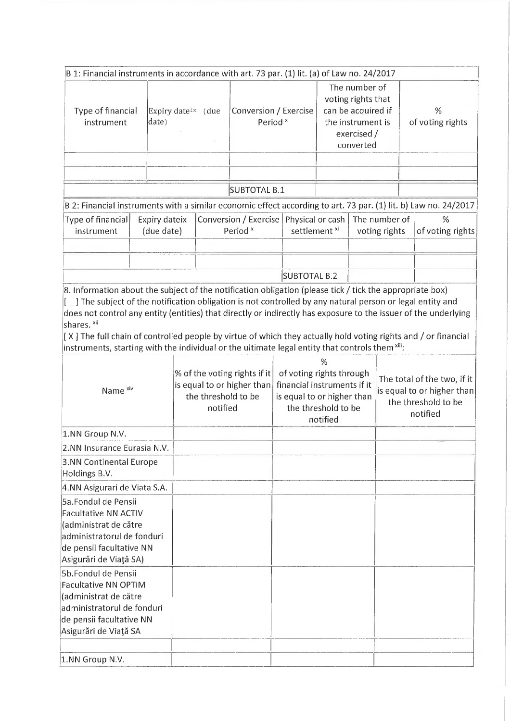| Type of financial<br>instrument                                                                                                                                                                                                                            | date) |                                                                                               | Expiry date <sup>ix</sup> (due | B 1: Financial instruments in accordance with art. 73 par. (1) lit. (a) of Law no. 24/2017                                    | Conversion / Exercise<br>Period <sup>x</sup> |                                                                                              | The number of<br>voting rights that<br>can be acquired if<br>the instrument is<br>exercised /<br>converted |  | %<br>of voting rights |
|------------------------------------------------------------------------------------------------------------------------------------------------------------------------------------------------------------------------------------------------------------|-------|-----------------------------------------------------------------------------------------------|--------------------------------|-------------------------------------------------------------------------------------------------------------------------------|----------------------------------------------|----------------------------------------------------------------------------------------------|------------------------------------------------------------------------------------------------------------|--|-----------------------|
|                                                                                                                                                                                                                                                            |       |                                                                                               |                                |                                                                                                                               |                                              |                                                                                              |                                                                                                            |  |                       |
|                                                                                                                                                                                                                                                            |       |                                                                                               |                                | SUBTOTAL B.1                                                                                                                  |                                              |                                                                                              |                                                                                                            |  |                       |
| B 2: Financial instruments with a similar economic effect according to art. 73 par. (1) lit. b) Law no. 24/2017                                                                                                                                            |       |                                                                                               |                                |                                                                                                                               |                                              |                                                                                              |                                                                                                            |  |                       |
| Type of financial<br>instrument                                                                                                                                                                                                                            |       | Expiry dateix<br>(due date)                                                                   |                                | Conversion / Exercise<br>Period <sup>x</sup>                                                                                  |                                              | Physical or cash<br>settlement <sup>xi</sup>                                                 | The number of<br>voting rights                                                                             |  | %<br>of voting rights |
|                                                                                                                                                                                                                                                            |       |                                                                                               |                                |                                                                                                                               |                                              |                                                                                              |                                                                                                            |  |                       |
|                                                                                                                                                                                                                                                            |       |                                                                                               |                                |                                                                                                                               |                                              |                                                                                              |                                                                                                            |  |                       |
| 8. Information about the subject of the notification obligation (please tick / tick the appropriate box)                                                                                                                                                   |       |                                                                                               |                                |                                                                                                                               | <b>SUBTOTAL B.2</b>                          |                                                                                              |                                                                                                            |  |                       |
| shares. <sup>xii</sup><br>[X] The full chain of controlled people by virtue of which they actually hold voting rights and / or financial<br>instruments, starting with the individual or the ultimate legal entity that controls them $x$ <sup>iii</sup> : |       |                                                                                               |                                |                                                                                                                               |                                              |                                                                                              |                                                                                                            |  |                       |
| Name <sup>xiv</sup>                                                                                                                                                                                                                                        |       | % of the voting rights if it<br>is equal to or higher than<br>the threshold to be<br>notified |                                | %<br>of voting rights through<br>financial instruments if it<br>is equal to or higher than<br>the threshold to be<br>notified |                                              | The total of the two, if it<br>is equal to or higher than<br>the threshold to be<br>notified |                                                                                                            |  |                       |
| 1.NN Group N.V.                                                                                                                                                                                                                                            |       |                                                                                               |                                |                                                                                                                               |                                              |                                                                                              |                                                                                                            |  |                       |
| 2.NN Insurance Eurasia N.V.                                                                                                                                                                                                                                |       |                                                                                               |                                |                                                                                                                               |                                              |                                                                                              |                                                                                                            |  |                       |
| 3.NN Continental Europe<br>Holdings B.V.                                                                                                                                                                                                                   |       |                                                                                               |                                |                                                                                                                               |                                              |                                                                                              |                                                                                                            |  |                       |
| 4.NN Asigurari de Viata S.A.                                                                                                                                                                                                                               |       |                                                                                               |                                |                                                                                                                               |                                              |                                                                                              |                                                                                                            |  |                       |
| <b>5a.Fondul de Pensii</b><br><b>Facultative NN ACTIV</b><br>(administrat de către<br>administratorul de fonduri<br>de pensii facultative NN<br>Asigurări de Viață SA)                                                                                     |       |                                                                                               |                                |                                                                                                                               |                                              |                                                                                              |                                                                                                            |  |                       |
| 5b.Fondul de Pensii<br><b>Facultative NN OPTIM</b><br>(administrat de către<br>administratorul de fonduri<br>de pensii facultative NN<br>Asigurări de Viață SA                                                                                             |       |                                                                                               |                                |                                                                                                                               |                                              |                                                                                              |                                                                                                            |  |                       |
| 1.NN Group N.V.                                                                                                                                                                                                                                            |       |                                                                                               |                                |                                                                                                                               |                                              |                                                                                              |                                                                                                            |  |                       |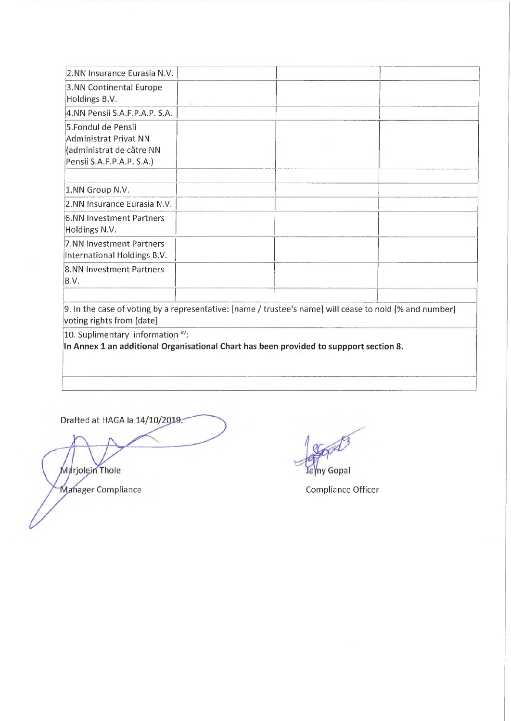| 2.NN Insurance Eurasia N.V.                                                                          |  |  |
|------------------------------------------------------------------------------------------------------|--|--|
| 3.NN Continental Europe<br>Holdings B.V.                                                             |  |  |
| 4.NN Pensii S.A.F.P.A.P. S.A.                                                                        |  |  |
| 5.Fondul de Pensii<br>Administrat Privat NN<br>(administrat de către NN<br>Pensii S.A.F.P.A.P. S.A.) |  |  |
|                                                                                                      |  |  |
| 1.NN Group N.V.                                                                                      |  |  |
| 2.NN Insurance Eurasia N.V.                                                                          |  |  |
| 6.NN Investment Partners<br>Holdings N.V.                                                            |  |  |
| 7.NN Investment Partners<br>International Holdings B.V.                                              |  |  |
| 8.NN Investment Partners<br>B.V.                                                                     |  |  |
|                                                                                                      |  |  |

9. In the case of voting by a representative: [name / trustee's name] will cease to hold [% and number] voting rights from [date]

 $|10$ . Suplimentary information  $x$ <sup>v</sup>:

In Annex 1 an additional Organisational Chart has been provided to suppport section 8.

Drafted at HAGA la 14/10/2019.

Marjolein Thole Manager Compliance **Compliance** Compliance Officer

lemy Gopal